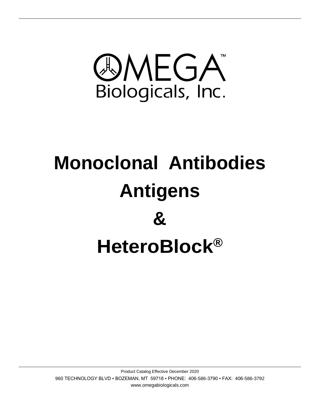

# **Monoclonal Antibodies Antigens & HeteroBlock®**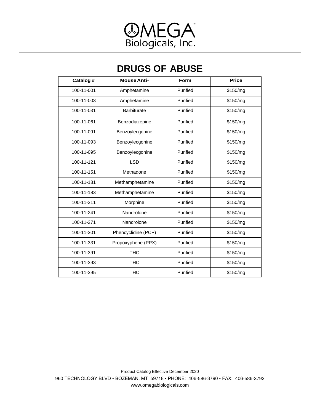

## **DRUGS OF ABUSE**

| Catalog #  | <b>Mouse Anti-</b>  | Form     | <b>Price</b> |
|------------|---------------------|----------|--------------|
| 100-11-001 | Amphetamine         | Purified | \$150/mg     |
| 100-11-003 | Amphetamine         | Purified | \$150/mg     |
| 100-11-031 | <b>Barbiturate</b>  | Purified | \$150/mg     |
| 100-11-061 | Benzodiazepine      | Purified | \$150/mg     |
| 100-11-091 | Benzoylecgonine     | Purified | \$150/mg     |
| 100-11-093 | Benzoylecgonine     | Purified | \$150/mg     |
| 100-11-095 | Benzoylecgonine     | Purified | \$150/mg     |
| 100-11-121 | <b>LSD</b>          | Purified | \$150/mg     |
| 100-11-151 | Methadone           | Purified | \$150/mg     |
| 100-11-181 | Methamphetamine     | Purified | \$150/mg     |
| 100-11-183 | Methamphetamine     | Purified | \$150/mg     |
| 100-11-211 | Morphine            | Purified | \$150/mg     |
| 100-11-241 | Nandrolone          | Purified | \$150/mg     |
| 100-11-271 | Nandrolone          | Purified | \$150/mg     |
| 100-11-301 | Phencyclidine (PCP) | Purified | \$150/mg     |
| 100-11-331 | Propoxyphene (PPX)  | Purified | \$150/mg     |
| 100-11-391 | <b>THC</b>          | Purified | \$150/mg     |
| 100-11-393 | <b>THC</b>          | Purified | \$150/mg     |
| 100-11-395 | <b>THC</b>          | Purified | \$150/mg     |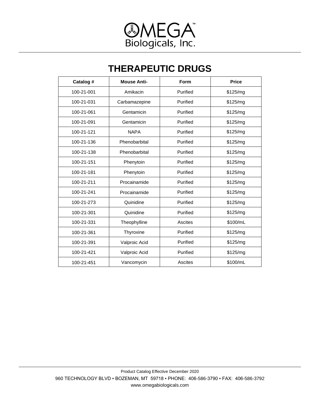

### **THERAPEUTIC DRUGS**

| Catalog #  | <b>Mouse Anti-</b> | <b>Form</b> | <b>Price</b> |
|------------|--------------------|-------------|--------------|
| 100-21-001 | Amikacin           | Purified    | \$125/mg     |
| 100-21-031 | Carbamazepine      | Purified    | \$125/mg     |
| 100-21-061 | Gentamicin         | Purified    | \$125/mg     |
| 100-21-091 | Gentamicin         | Purified    | \$125/mg     |
| 100-21-121 | <b>NAPA</b>        | Purified    | \$125/mg     |
| 100-21-136 | Phenobarbital      | Purified    | \$125/mg     |
| 100-21-138 | Phenobarbital      | Purified    | \$125/mg     |
| 100-21-151 | Phenytoin          | Purified    | \$125/mg     |
| 100-21-181 | Phenytoin          | Purified    | \$125/mg     |
| 100-21-211 | Procainamide       | Purified    | \$125/mg     |
| 100-21-241 | Procainamide       | Purified    | \$125/mg     |
| 100-21-273 | Quinidine          | Purified    | \$125/mg     |
| 100-21-301 | Quinidine          | Purified    | \$125/mg     |
| 100-21-331 | Theophylline       | Ascites     | \$100/mL     |
| 100-21-361 | Thyroxine          | Purified    | \$125/mg     |
| 100-21-391 | Valproic Acid      | Purified    | \$125/mg     |
| 100-21-421 | Valproic Acid      | Purified    | \$125/mg     |
| 100-21-451 | Vancomycin         | Ascites     | \$100/mL     |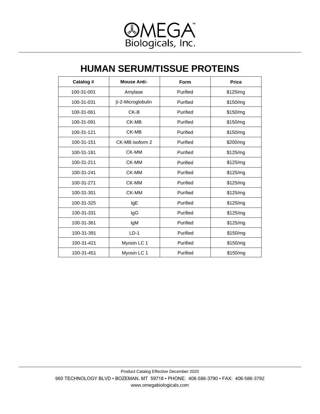

### **HUMAN SERUM/TISSUE PROTEINS**

| Catalog #  | <b>Mouse Anti-</b> | Form     | <b>Price</b> |
|------------|--------------------|----------|--------------|
| 100-31-001 | Amylase            | Purified | \$125/mg     |
| 100-31-031 | β-2-Microglobulin  | Purified | \$150/mg     |
| 100-31-061 | CK-B               | Purified | \$150/mg     |
| 100-31-091 | CK-MB              | Purified | \$150/mg     |
| 100-31-121 | CK-MB              | Purified | \$150/mg     |
| 100-31-151 | CK-MB isoform 2    | Purified | \$200/mg     |
| 100-31-181 | CK-MM              | Purified | \$125/mg     |
| 100-31-211 | CK-MM              | Purified | \$125/mg     |
| 100-31-241 | CK-MM              | Purified | \$125/mg     |
| 100-31-271 | CK-MM              | Purified | \$125/mg     |
| 100-31-301 | CK-MM              | Purified | \$125/mg     |
| 100-31-325 | IgE                | Purified | \$125/mg     |
| 100-31-331 | IgG                | Purified | \$125/mg     |
| 100-31-361 | IgM                | Purified | \$125/mg     |
| 100-31-391 | $LD-1$             | Purified | \$150/mg     |
| 100-31-421 | Myosin LC 1        | Purified | \$150/mg     |
| 100-31-451 | Myosin LC 1        | Purified | \$150/mg     |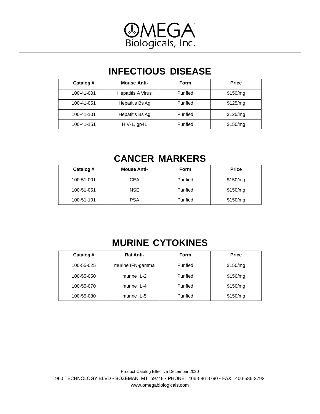

# **INFECTIOUS DISEASE**

| Catalog #  | <b>Mouse Anti-</b>       | <b>Form</b> | <b>Price</b> |
|------------|--------------------------|-------------|--------------|
| 100-41-001 | <b>Hepatitis A Virus</b> | Purified    | \$150/mg     |
| 100-41-051 | Hepatitis Bs Ag          | Purified    | \$125/mg     |
| 100-41-101 | Hepatitis Bs Ag          | Purified    | \$125/mg     |
| 100-41-151 | $HIV-1$ , gp41           | Purified    | \$150/mg     |

# **CANCER MARKERS**

| Catalog #  | <b>Mouse Anti-</b> | <b>Form</b> | <b>Price</b> |
|------------|--------------------|-------------|--------------|
| 100-51-001 | <b>CEA</b>         | Purified    | \$150/mg     |
| 100-51-051 | <b>NSE</b>         | Purified    | \$150/mg     |
| 100-51-101 | <b>PSA</b>         | Purified    | \$150/mg     |

# **MURINE CYTOKINES**

| Catalog #  | <b>Rat Anti-</b> | <b>Form</b> | <b>Price</b> |
|------------|------------------|-------------|--------------|
| 100-55-025 | murine IFN-gamma | Purified    | \$150/mg     |
| 100-55-050 | murine IL-2      | Purified    | \$150/mg     |
| 100-55-070 | murine IL-4      | Purified    | \$150/mg     |
| 100-55-080 | murine IL-5      | Purified    | \$150/mg     |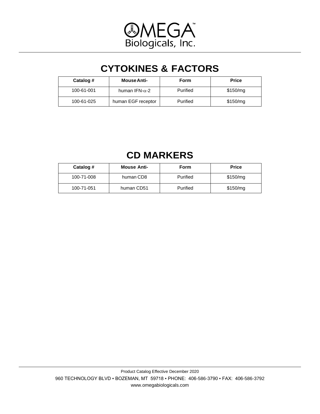

# **CYTOKINES & FACTORS**

| Catalog #  | <b>Mouse Anti-</b>     | Form     | <b>Price</b> |
|------------|------------------------|----------|--------------|
| 100-61-001 | human IFN- $\alpha$ -2 | Purified | \$150/mq     |
| 100-61-025 | human EGF receptor     | Purified | \$150/mg     |

# **CD MARKERS**

| Catalog #  | <b>Mouse Anti-</b> | Form     | <b>Price</b> |
|------------|--------------------|----------|--------------|
| 100-71-008 | human CD8          | Purified | \$150/mq     |
| 100-71-051 | human CD51         | Purified | \$150/mg     |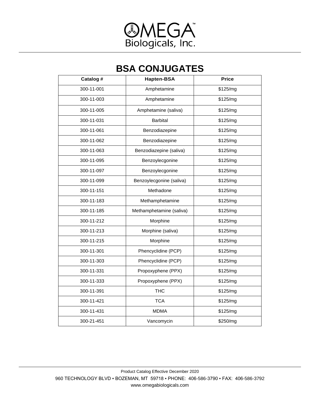

### **BSA CONJUGATES**

| Catalog #  | <b>Hapten-BSA</b>        | <b>Price</b> |
|------------|--------------------------|--------------|
| 300-11-001 | Amphetamine              | \$125/mg     |
| 300-11-003 | Amphetamine              | \$125/mg     |
| 300-11-005 | Amphetamine (saliva)     | \$125/mg     |
| 300-11-031 | <b>Barbital</b>          | \$125/mg     |
| 300-11-061 | Benzodiazepine           | \$125/mg     |
| 300-11-062 | Benzodiazepine           | \$125/mg     |
| 300-11-063 | Benzodiazepine (saliva)  | \$125/mg     |
| 300-11-095 | Benzoylecgonine          | \$125/mg     |
| 300-11-097 | Benzoylecgonine          | \$125/mg     |
| 300-11-099 | Benzoylecgonine (saliva) | \$125/mg     |
| 300-11-151 | Methadone                | \$125/mg     |
| 300-11-183 | Methamphetamine          | \$125/mg     |
| 300-11-185 | Methamphetamine (saliva) | \$125/mg     |
| 300-11-212 | Morphine                 | \$125/mg     |
| 300-11-213 | Morphine (saliva)        | \$125/mg     |
| 300-11-215 | Morphine                 | \$125/mg     |
| 300-11-301 | Phencyclidine (PCP)      | \$125/mg     |
| 300-11-303 | Phencyclidine (PCP)      | \$125/mg     |
| 300-11-331 | Propoxyphene (PPX)       | \$125/mg     |
| 300-11-333 | Propoxyphene (PPX)       | \$125/mg     |
| 300-11-391 | <b>THC</b>               | \$125/mg     |
| 300-11-421 | <b>TCA</b>               | \$125/mg     |
| 300-11-431 | <b>MDMA</b>              | \$125/mg     |
| 300-21-451 | Vancomycin               | \$250/mg     |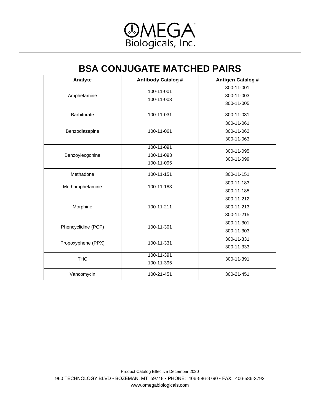

### **BSA CONJUGATE MATCHED PAIRS**

| Analyte             | <b>Antibody Catalog #</b> | <b>Antigen Catalog #</b> |
|---------------------|---------------------------|--------------------------|
|                     | 100-11-001                | 300-11-001               |
| Amphetamine         | 100-11-003                | 300-11-003               |
|                     |                           | 300-11-005               |
| <b>Barbiturate</b>  | 100-11-031                | 300-11-031               |
|                     |                           | 300-11-061               |
| Benzodiazepine      | 100-11-061                | 300-11-062               |
|                     |                           | 300-11-063               |
|                     | 100-11-091                | 300-11-095               |
| Benzoylecgonine     | 100-11-093                | 300-11-099               |
|                     | 100-11-095                |                          |
| Methadone           | 100-11-151                | 300-11-151               |
| Methamphetamine     | 100-11-183                | 300-11-183               |
|                     |                           | 300-11-185               |
|                     |                           | 300-11-212               |
| Morphine            | 100-11-211                | 300-11-213               |
|                     |                           | 300-11-215               |
| Phencyclidine (PCP) | 100-11-301                | 300-11-301               |
|                     |                           | 300-11-303               |
| Propoxyphene (PPX)  | 100-11-331                | 300-11-331               |
|                     |                           | 300-11-333               |
| <b>THC</b>          | 100-11-391                | 300-11-391               |
|                     | 100-11-395                |                          |
| Vancomycin          | 100-21-451                | 300-21-451               |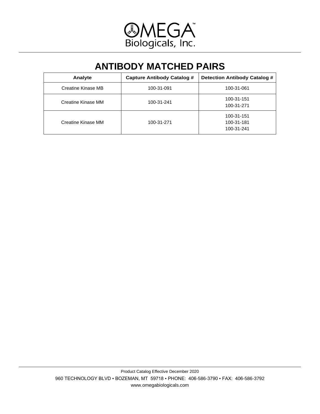

## **ANTIBODY MATCHED PAIRS**

| Analyte            | <b>Capture Antibody Catalog #</b> | Detection Antibody Catalog #           |
|--------------------|-----------------------------------|----------------------------------------|
| Creatine Kinase MB | 100-31-091                        | 100-31-061                             |
| Creatine Kinase MM | 100-31-241                        | 100-31-151<br>100-31-271               |
| Creatine Kinase MM | 100-31-271                        | 100-31-151<br>100-31-181<br>100-31-241 |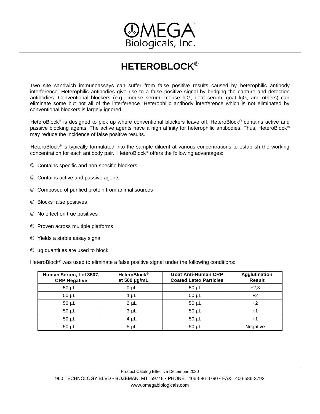

# **HETEROBLOCK®**

Two site sandwich immunoassays can suffer from false positive results caused by heterophilic antibody interference. Heterophilic antibodies give rise to a false positive signal by bridging the capture and detection antibodies. Conventional blockers (e.g., mouse serum, mouse lgG, goat serum, goat lgG, and others) can eliminate some but not all of the interference. Heterophilic antibody interference which is not eliminated by conventional blockers is largely ignored.

HeteroBlock<sup>®</sup> is designed to pick up where conventional blockers leave off. HeteroBlock<sup>®</sup> contains active and passive blocking agents. The active agents have a high affinity for heterophilic antibodies. Thus, HeteroBlock® may reduce the incidence of false positive results.

HeteroBlock<sup>®</sup> is typically formulated into the sample diluent at various concentrations to establish the working concentration for each antibody pair. HeteroBlock<sup>®</sup> offers the following advantages:

- ☺ Contains specific and non-specific blockers
- ☺ Contains active and passive agents
- ☺ Composed of purified protein from animal sources
- ☺ Blocks false positives
- ☺ No effect on true positives
- ☺ Proven across multiple platforms
- ☺ Yields a stable assay signal
- ☺ µg quantities are used to block

HeteroBlock<sup>®</sup> was used to eliminate a false positive signal under the following conditions:

| Human Serum, Lot 8507,<br><b>CRP Negative</b> | <b>HeteroBlock®</b><br>at 500 µg/mL | <b>Goat Anti-Human CRP</b><br><b>Coated Latex Particles</b> | Agglutination<br><b>Result</b> |
|-----------------------------------------------|-------------------------------------|-------------------------------------------------------------|--------------------------------|
| $50 \mu L$                                    | $0 \mu L$                           | $50 \mu L$                                                  | $+2,3$                         |
| $50 \mu L$                                    | $1 \mu L$                           | $50 \mu L$                                                  | $+2$                           |
| $50 \mu L$                                    | $2 \mu L$                           | $50 \mu L$                                                  | $+2$                           |
| $50 \mu L$                                    | 3 <sub>µ</sub> L                    | $50 \mu L$                                                  | $+1$                           |
| $50 \mu L$                                    | $4 \mu L$                           | $50 \mu L$                                                  | +1                             |
| $50 \mu L$                                    | $5 \mu L$                           | $50 \mu L$                                                  | Negative                       |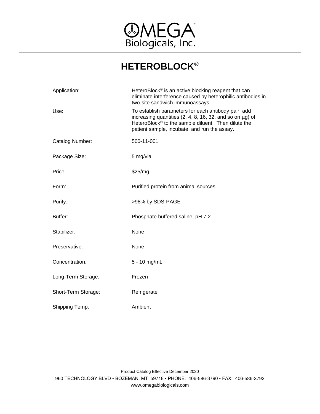

# **HETEROBLOCK®**

| Application:        | HeteroBlock <sup>®</sup> is an active blocking reagent that can<br>eliminate interference caused by heterophilic antibodies in<br>two-site sandwich immunoassays.                                                             |
|---------------------|-------------------------------------------------------------------------------------------------------------------------------------------------------------------------------------------------------------------------------|
| Use:                | To establish parameters for each antibody pair, add<br>increasing quantities $(2, 4, 8, 16, 32,$ and so on $\mu$ g) of<br>HeteroBlock® to the sample diluent. Then dilute the<br>patient sample, incubate, and run the assay. |
| Catalog Number:     | 500-11-001                                                                                                                                                                                                                    |
| Package Size:       | 5 mg/vial                                                                                                                                                                                                                     |
| Price:              | \$25/mg                                                                                                                                                                                                                       |
| Form:               | Purified protein from animal sources                                                                                                                                                                                          |
| Purity:             | >98% by SDS-PAGE                                                                                                                                                                                                              |
| Buffer:             | Phosphate buffered saline, pH 7.2                                                                                                                                                                                             |
| Stabilizer:         | None                                                                                                                                                                                                                          |
| Preservative:       | None                                                                                                                                                                                                                          |
| Concentration:      | 5 - 10 mg/mL                                                                                                                                                                                                                  |
| Long-Term Storage:  | Frozen                                                                                                                                                                                                                        |
| Short-Term Storage: | Refrigerate                                                                                                                                                                                                                   |
| Shipping Temp:      | Ambient                                                                                                                                                                                                                       |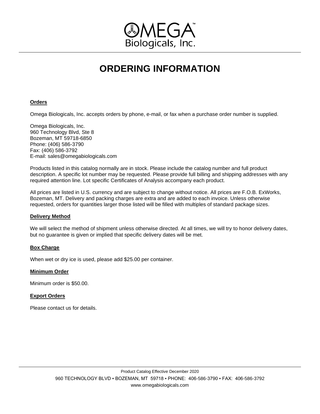

# **ORDERING INFORMATION**

### **Orders**

Omega Biologicals, Inc. accepts orders by phone, e-mail, or fax when a purchase order number is supplied.

Omega Biologicals, Inc. 960 Technology Blvd, Ste 8 Bozeman, MT 59718-6850 Phone: (406) 586-3790 Fax: (406) 586-3792 E-mail: sales@omegabiologicals.com

Products listed in this catalog normally are in stock. Please include the catalog number and full product description. A specific lot number may be requested. Please provide full billing and shipping addresses with any required attention line. Lot specific Certificates of Analysis accompany each product.

All prices are listed in U.S. currency and are subject to change without notice. All prices are F.O.B. ExWorks, Bozeman, MT. Delivery and packing charges are extra and are added to each invoice. Unless otherwise requested, orders for quantities larger those listed will be filled with multiples of standard package sizes.

### **Delivery Method**

We will select the method of shipment unless otherwise directed. At all times, we will try to honor delivery dates, but no guarantee is given or implied that specific delivery dates will be met.

### **Box Charge**

When wet or dry ice is used, please add \$25.00 per container.

### **Minimum Order**

Minimum order is \$50.00.

### **Export Orders**

Please contact us for details.